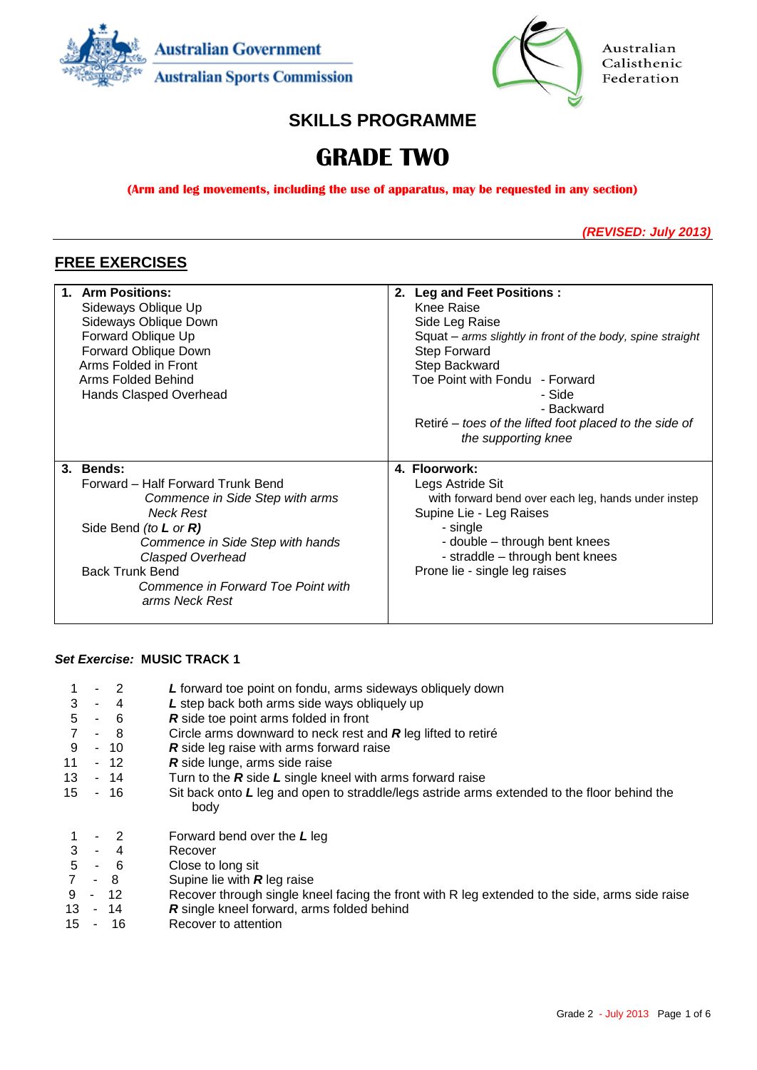



Australian Calisthenic Federation

# **SKILLS PROGRAMME**

# **GRADE TWO**

**(Arm and leg movements, including the use of apparatus, may be requested in any section)**

*(REVISED: July 2013)*

# **FREE EXERCISES**

| 1. Arm Positions:<br>Sideways Oblique Up<br>Sideways Oblique Down<br>Forward Oblique Up<br>Forward Oblique Down<br>Arms Folded in Front<br>Arms Folded Behind<br>Hands Clasped Overhead                                                                                       | 2. Leg and Feet Positions:<br>Knee Raise<br>Side Leg Raise<br>Squat - arms slightly in front of the body, spine straight<br><b>Step Forward</b><br>Step Backward<br>Toe Point with Fondu - Forward<br>- Side<br>- Backward<br>Retiré – toes of the lifted foot placed to the side of |
|-------------------------------------------------------------------------------------------------------------------------------------------------------------------------------------------------------------------------------------------------------------------------------|--------------------------------------------------------------------------------------------------------------------------------------------------------------------------------------------------------------------------------------------------------------------------------------|
|                                                                                                                                                                                                                                                                               | the supporting knee                                                                                                                                                                                                                                                                  |
| 3. Bends:<br>Forward - Half Forward Trunk Bend<br>Commence in Side Step with arms<br><b>Neck Rest</b><br>Side Bend (to $L$ or $R$ )<br>Commence in Side Step with hands<br>Clasped Overhead<br><b>Back Trunk Bend</b><br>Commence in Forward Toe Point with<br>arms Neck Rest | 4. Floorwork:<br>Legs Astride Sit<br>with forward bend over each leg, hands under instep<br>Supine Lie - Leg Raises<br>- single<br>- double - through bent knees<br>- straddle - through bent knees<br>Prone lie - single leg raises                                                 |

### *Set Exercise:* **MUSIC TRACK 1**

| 3<br>5<br>$\overline{7}$<br>9<br>11<br>13<br>15 | $-4$<br>$-6$<br>- 8<br>$-10$<br>- 12<br>$-14$<br>- 16 | L forward toe point on fondu, arms sideways obliquely down<br>L step back both arms side ways obliquely up<br>R side toe point arms folded in front<br>Circle arms downward to neck rest and $R$ leg lifted to retire<br><b>R</b> side leg raise with arms forward raise<br>R side lunge, arms side raise<br>Turn to the $R$ side $L$ single kneel with arms forward raise<br>Sit back onto L leg and open to straddle/legs astride arms extended to the floor behind the |
|-------------------------------------------------|-------------------------------------------------------|---------------------------------------------------------------------------------------------------------------------------------------------------------------------------------------------------------------------------------------------------------------------------------------------------------------------------------------------------------------------------------------------------------------------------------------------------------------------------|
| 3<br>5<br>9<br>13<br>15                         | $-6$<br>- 8<br>$-12$<br>- 14<br>16                    | body<br>Forward bend over the $L$ leg<br>Recover<br>Close to long sit<br>Supine lie with $R$ leg raise<br>Recover through single kneel facing the front with R leg extended to the side, arms side raise<br>R single kneel forward, arms folded behind<br>Recover to attention                                                                                                                                                                                            |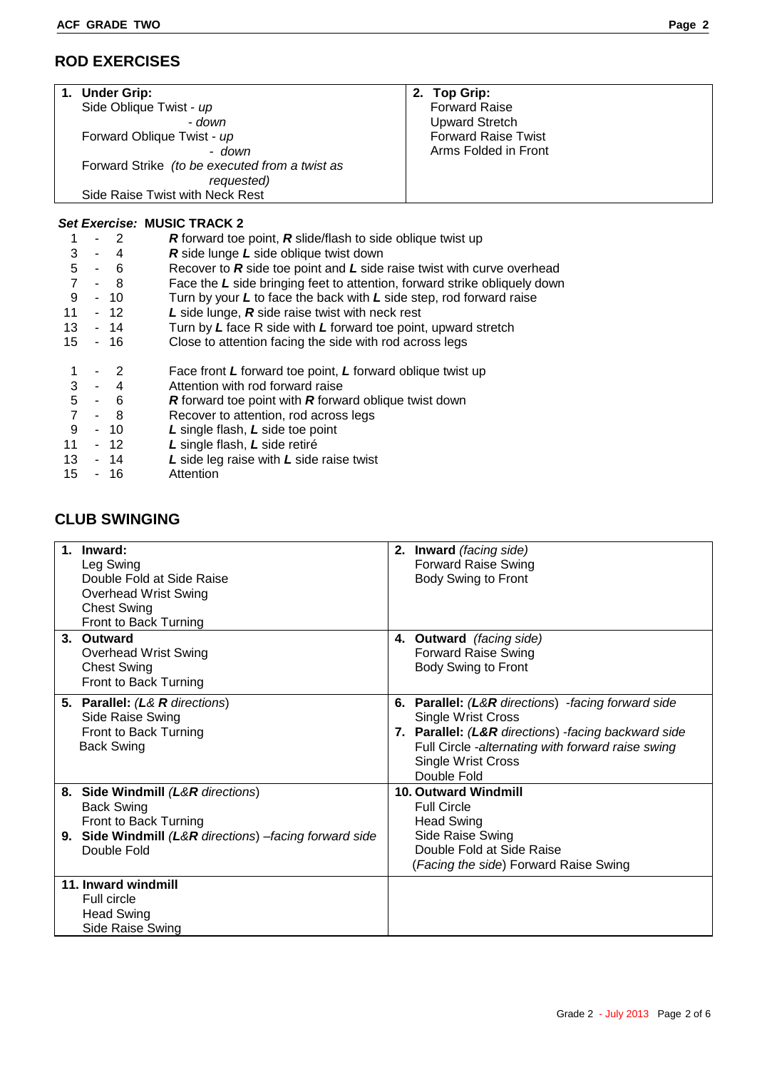# **ROD EXERCISES**

|   | 1. Under Grip:                                                                       |                                                | <b>Top Grip:</b><br>2.     |  |  |  |  |
|---|--------------------------------------------------------------------------------------|------------------------------------------------|----------------------------|--|--|--|--|
|   | Side Oblique Twist - up                                                              |                                                | <b>Forward Raise</b>       |  |  |  |  |
|   |                                                                                      | - down                                         | <b>Upward Stretch</b>      |  |  |  |  |
|   | Forward Oblique Twist - up                                                           |                                                | <b>Forward Raise Twist</b> |  |  |  |  |
|   |                                                                                      | - down                                         | Arms Folded in Front       |  |  |  |  |
|   |                                                                                      | Forward Strike (to be executed from a twist as |                            |  |  |  |  |
|   |                                                                                      | requested)                                     |                            |  |  |  |  |
|   |                                                                                      | Side Raise Twist with Neck Rest                |                            |  |  |  |  |
|   |                                                                                      |                                                |                            |  |  |  |  |
|   |                                                                                      | <b>Set Exercise: MUSIC TRACK 2</b>             |                            |  |  |  |  |
|   | R forward toe point, R slide/flash to side oblique twist up<br>$-2$                  |                                                |                            |  |  |  |  |
| 3 | 4<br>٠.                                                                              | <b>R</b> side lunge L side oblique twist down  |                            |  |  |  |  |
|   | Becouse to Boide too point and Loide roise twist with our is overhood.<br>$\epsilon$ |                                                |                            |  |  |  |  |

| 5 - 6 |  |  |  |  |  |  |  |  | Recover to $R$ side toe point and $L$ side raise twist with curve overhead |  |
|-------|--|--|--|--|--|--|--|--|----------------------------------------------------------------------------|--|
|       |  |  |  |  |  |  |  |  |                                                                            |  |

- 7 8 Face the *L* side bringing feet to attention, forward strike obliquely down
- 9 10 Turn by your *L* to face the back with *L* side step, rod forward raise<br>11 12 L side lunge, *R* side raise twist with neck rest
- 12 *L* side lunge, **R** side raise twist with neck rest
- 13 14 Turn by *L* face R side with *L* forward toe point, upward stretch
- 15 16 Close to attention facing the side with rod across legs
- 1 2 Face front *L* forward toe point, *L* forward oblique twist up
- 3 4 Attention with rod forward raise<br>5 6 **R** forward toe point with **R** forwa 5 - 6 *R* forward toe point with *R* forward oblique twist down
- 
- 7 8 Recover to attention, rod across legs<br>9 10 L single flash, L side toe point 9 - 10 *L* single flash, *L* side toe point
- 11 12 *L* single flash, *L* side retiré
- 13 14 *L* side leg raise with *L* side raise twist
- 15 16 Attention

# **CLUB SWINGING**

| 1 <sub>1</sub> | Inward:<br>Leg Swing<br>Double Fold at Side Raise<br><b>Overhead Wrist Swing</b><br><b>Chest Swing</b><br>Front to Back Turning                          | 2. Inward (facing side)<br><b>Forward Raise Swing</b><br>Body Swing to Front                                                                                                                                                              |
|----------------|----------------------------------------------------------------------------------------------------------------------------------------------------------|-------------------------------------------------------------------------------------------------------------------------------------------------------------------------------------------------------------------------------------------|
|                | 3. Outward<br><b>Overhead Wrist Swing</b><br><b>Chest Swing</b><br>Front to Back Turning                                                                 | 4. Outward (facing side)<br><b>Forward Raise Swing</b><br>Body Swing to Front                                                                                                                                                             |
|                | 5. Parallel: (L& R directions)<br>Side Raise Swing<br>Front to Back Turning<br><b>Back Swing</b>                                                         | 6. Parallel: (L&R directions) - facing forward side<br><b>Single Wrist Cross</b><br>7. Parallel: (L&R directions) - facing backward side<br>Full Circle -alternating with forward raise swing<br><b>Single Wrist Cross</b><br>Double Fold |
|                | 8. Side Windmill (L&R directions)<br><b>Back Swing</b><br>Front to Back Turning<br>9. Side Windmill (L&R directions) -facing forward side<br>Double Fold | 10. Outward Windmill<br><b>Full Circle</b><br><b>Head Swing</b><br>Side Raise Swing<br>Double Fold at Side Raise<br>(Facing the side) Forward Raise Swing                                                                                 |
|                | 11. Inward windmill<br>Full circle<br><b>Head Swing</b><br>Side Raise Swing                                                                              |                                                                                                                                                                                                                                           |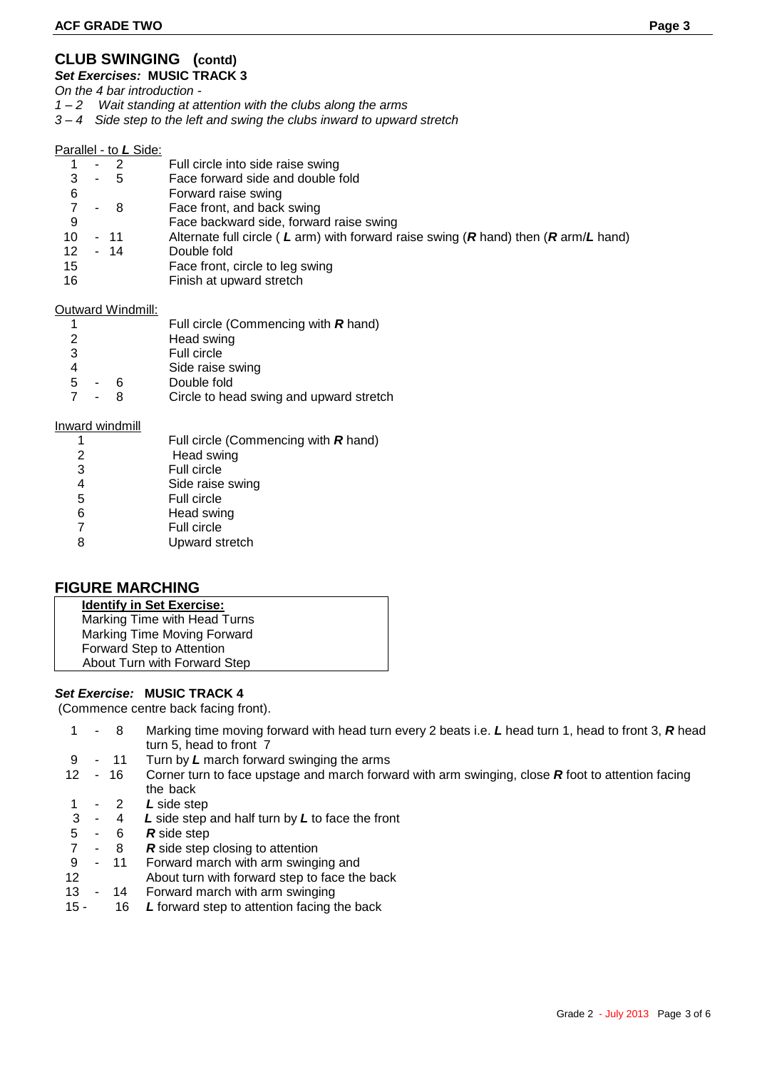# **CLUB SWINGING (contd)**

*Set Exercises:* **MUSIC TRACK 3**

*On the 4 bar introduction -*

*1 – 2 Wait standing at attention with the clubs along the arms*

*3 – 4 Side step to the left and swing the clubs inward to upward stretch*

#### Parallel - to *L* Side:

|                   |        | $-2$ | Full circle into side raise swing                                                   |
|-------------------|--------|------|-------------------------------------------------------------------------------------|
| 3                 | $\sim$ | - 5  | Face forward side and double fold                                                   |
| 6                 |        |      | Forward raise swing                                                                 |
|                   | ۰      | - 8  | Face front, and back swing                                                          |
| 9                 |        |      | Face backward side, forward raise swing                                             |
| 10                |        | - 11 | Alternate full circle (L arm) with forward raise swing (R hand) then (R arm/L hand) |
| $12 \overline{ }$ |        | - 14 | Double fold                                                                         |
| 15                |        |      | Face front, circle to leg swing                                                     |
| 16                |        |      | Finish at upward stretch                                                            |
|                   |        |      |                                                                                     |

#### Outward Windmill:

|   |    |   | Full circle (Commencing with $R$ hand)  |
|---|----|---|-----------------------------------------|
| 2 |    |   | Head swing                              |
| 3 |    |   | Full circle                             |
|   |    |   | Side raise swing                        |
| 5 | ۰. | Б | Double fold                             |
|   |    |   | Circle to head swing and upward stretch |

#### Inward windmill

| 1              | Full circle (Commencing with $R$ hand) |
|----------------|----------------------------------------|
| 2              | Head swing                             |
| 3              | Full circle                            |
|                | Side raise swing                       |
| 5              | Full circle                            |
| 6              | Head swing                             |
| $\overline{7}$ | Full circle                            |
| 8              | Upward stretch                         |
|                |                                        |

### **FIGURE MARCHING**

| <b>Identify in Set Exercise:</b> |
|----------------------------------|
| Marking Time with Head Turns     |
| Marking Time Moving Forward      |
| Forward Step to Attention        |
| About Turn with Forward Step     |

### *Set Exercise:* **MUSIC TRACK 4**

(Commence centre back facing front).

- 1 8 Marking time moving forward with head turn every 2 beats i.e. *L* head turn 1, head to front 3, *R* head turn 5, head to front 7
- 9 11 Turn by *L* march forward swinging the arms
- 12 16 Corner turn to face upstage and march forward with arm swinging, close *R* foot to attention facing the back
- 1 2 *L* side step
- 3 4 *L* side step and half turn by *L* to face the front
- 5 6 *R* side step
- 8 **R** side step closing to attention
- 9 11 Forward march with arm swinging and
- 12 About turn with forward step to face the back
- 13 14 Forward march with arm swinging
- 15 16 *L* forward step to attention facing the back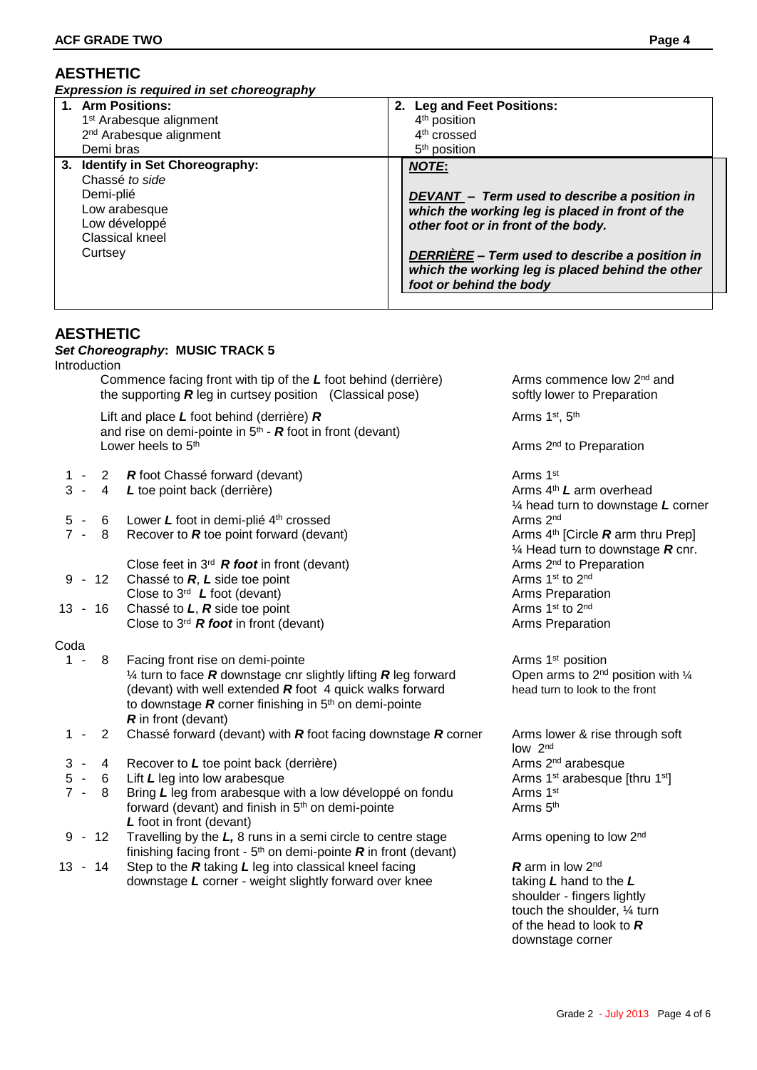# **AESTHETIC**

*Expression is required in set choreography*

| 1. Arm Positions:                   | 2. Leg and Feet Positions:                       |
|-------------------------------------|--------------------------------------------------|
| 1 <sup>st</sup> Arabesque alignment | 4 <sup>th</sup> position                         |
| 2 <sup>nd</sup> Arabesque alignment | 4 <sup>th</sup> crossed                          |
| Demi bras                           | 5 <sup>th</sup> position                         |
| 3. Identify in Set Choreography:    | <b>NOTE:</b>                                     |
| Chassé to side                      | DEVANT - Term used to describe a position in     |
| Demi-plié                           | which the working leg is placed in front of the  |
| Low arabesque                       | other foot or in front of the body.              |
| Low développé                       | DERRIÈRE - Term used to describe a position in   |
| Classical kneel                     | which the working leg is placed behind the other |
| Curtsey                             | foot or behind the body                          |

# **AESTHETIC**

### *Set Choreography***: MUSIC TRACK 5**

Introduction

Commence facing front with tip of the L foot behind (derrière) Arms commence low 2<sup>nd</sup> and the supporting **R** leg in curtsey position (Classical pose) softly lower to Preparation

Lift and place L foot behind (derrière) **R** Arms 1<sup>st</sup>, 5<sup>th</sup> and rise on demi-pointe in  $5<sup>th</sup>$  -  $R$  foot in front (devant) Lower heels to 5<sup>th</sup> Arms 2<sup>nd</sup> to Preparation Company Arms 2<sup>nd</sup> to Preparation

- 1 2 **R** foot Chassé forward (devant) Arms 1<sup>st</sup>
- 3 4 *L* toe point back (derrière) Arms 4<sup>th</sup> *L* arm overhead
- 
- 7 8 Recover to **R** toe point forward (devant)

Close feet in 3<sup>rd</sup> **R foot** in front (devant) Arms 2<sup>nd</sup> to Pr<br>Chassé to **R, L** side toe point Arms 1<sup>st</sup> to 2<sup>nd</sup>

- 9 12 Chassé to *R*, *L* side toe point Arms 1<sup>st</sup> to 2<sup>nd</sup> Arms 1<sup>st</sup> to 2<sup>nd</sup> Close to 3<sup>rd</sup> *L* foot (devant) Arms Preparation Close to 3<sup>rd</sup> **L** foot (devant)
- 13 16 Chassé to *L*, *R* side toe point Arms 1st to 2<sup>nd</sup> Close to 3<sup>rd</sup> **R foot** in front (devant) Arms Preparation

### Coda

- 1 8 Facing front rise on demi-pointe Arms 1st position Arms 1st position  $\frac{1}{4}$  turn to face **R** downstage cnr slightly lifting **R** leg forward (devant) with well extended **R** foot 4 quick walks forward head turn to look to the front to downstage *R* corner finishing in 5<sup>th</sup> on demi-pointe *R* in front (devant)
- 1 2 Chassé forward (devant) with *R* foot facing downstage *R* corner Arms lower & rise through soft
- 3 4 Recover to L toe point back (derrière) Arms 2<sup>nd</sup> arabesque
- 5 6 Lift L leg into low arabesque Arms 1st arabesque [thru 1st]
- 7 8 Bring L leg from arabesque with a low développé on fondu Arms 1st forward (devant) and finish in  $5<sup>th</sup>$  on demi-pointe  $A$ rms  $5<sup>th</sup>$ *L* foot in front (devant)
- 9 12 Travelling by the  $L$ , 8 runs in a semi circle to centre stage Arms opening to low  $2<sup>nd</sup>$ finishing facing front - 5<sup>th</sup> on demi-pointe **R** in front (devant)
- 13 14 Step to the *R* taking *L* leg into classical kneel facing *R* arm in low 2<sup>nd</sup> downstage *L* corner - weight slightly forward over knee taking *L* hand to the *L*

¼ head turn to downstage *L* corner 5 - 6 Lower L foot in demi-plié 4<sup>th</sup> crossed<br>
7 - 8 Recover to **R** toe point forward (devant) Arms 4<sup>th</sup> [Circle **R** arm thru Prep]  $\frac{1}{4}$  Head turn to downstage **R** cnr.<br>Arms  $2^{nd}$  to Preparation

Open arms to  $2^{nd}$  position with  $\frac{1}{4}$ 

low 2nd

shoulder - fingers lightly touch the shoulder, ¼ turn of the head to look to *R* downstage corner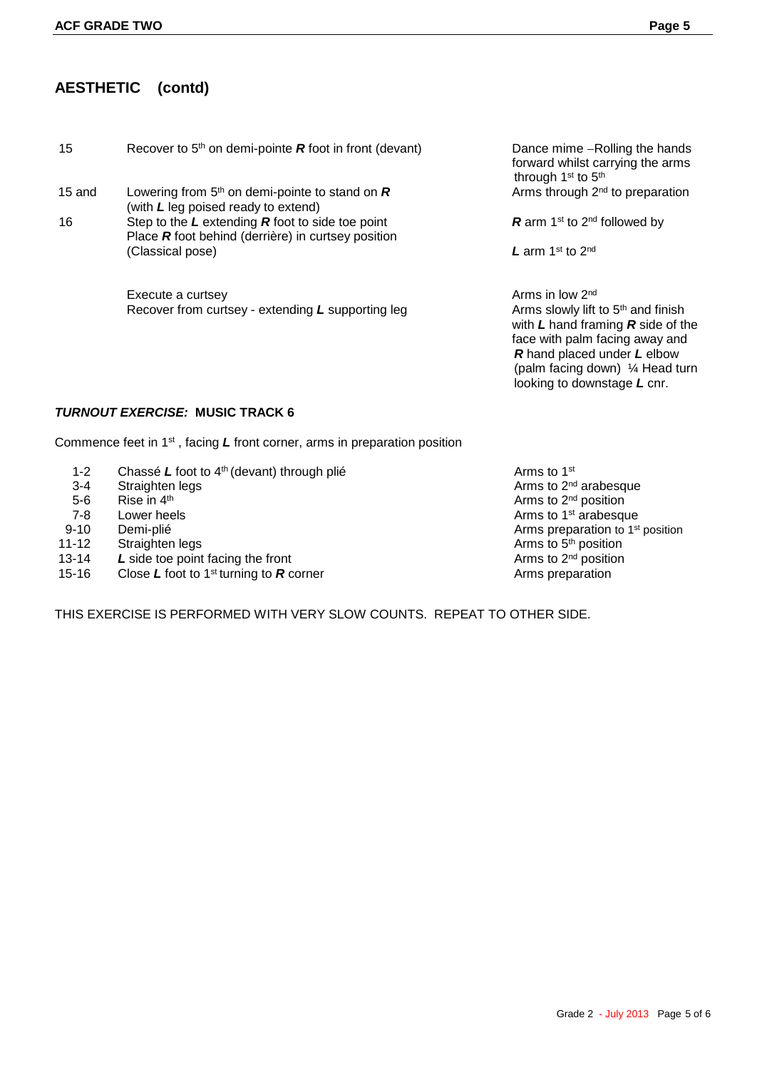# **AESTHETIC (contd)**

| 15     | Recover to $5th$ on demi-pointe <b>R</b> foot in front (devant)                                            | Dance mime -F<br>forward whilst c<br>through $1st$ to 5 |
|--------|------------------------------------------------------------------------------------------------------------|---------------------------------------------------------|
| 15 and | Lowering from $5th$ on demi-pointe to stand on $\boldsymbol{R}$<br>(with L leg poised ready to extend)     | Arms through 2                                          |
| 16     | Step to the $L$ extending $R$ foot to side toe point<br>Place R foot behind (derrière) in curtsey position | <b>R</b> arm 1 <sup>st</sup> to 2 <sup>nd</sup>         |
|        | (Classical pose)                                                                                           | <b>L</b> arm 1 <sup>st</sup> to 2 <sup>nd</sup>         |
|        | Execute a curtsey                                                                                          | Arms in low 2 <sup>nd</sup>                             |

Recover from curtsey - extending L supporting leg Arms slowly lift to 5<sup>th</sup> and finish

Dance mime -Rolling the hands forward whilst carrying the arms through 1<sup>st</sup> to 5<sup>th</sup> Arms through 2<sup>nd</sup> to preparation

R arm 1<sup>st</sup> to 2<sup>nd</sup> followed by

with *L* hand framing *R* side of the face with palm facing away and  *R* hand placed under *L* elbow (palm facing down) ¼ Head turn looking to downstage *L* cnr.

### *TURNOUT EXERCISE:* **MUSIC TRACK 6**

Commence feet in 1st , facing *L* front corner, arms in preparation position

- 1-2 Chassé *L* foot to 4<sup>th</sup> (devant) through plié **Arms** to 1<sup>st</sup> Arms to 1<sup>st</sup> Arms to 2<sup>nd</sup> Arms to 2<sup>nd</sup>
- 
- 5-6 Rise in  $4<sup>th</sup>$ <br>7-8 Lower heels
- 
- 
- 
- 13-14 L side toe point facing the front
- 15-16 Close L foot to 1<sup>st</sup> turning to **R** corner **Arms** preparation Close L foot to 1<sup>st</sup> turning to **R** corner
- 3-4 Straighten legs and architecture of the Contract of Arms to 2<sup>nd</sup> arabesque Arms to 2<sup>nd</sup> position T-8 Lower heels **Arms to 1<sup>st</sup> arabesque**<br>
110 Demi-plié **Arms to 1st arabesque**<br>
210 Demi-plié 9-10 Demi-plié Arms preparation to 1 st position 11-12 Straighten legs **Arms** to 5<sup>th</sup> position 13-14 L side toe point facing the front

THIS EXERCISE IS PERFORMED WITH VERY SLOW COUNTS. REPEAT TO OTHER SIDE.